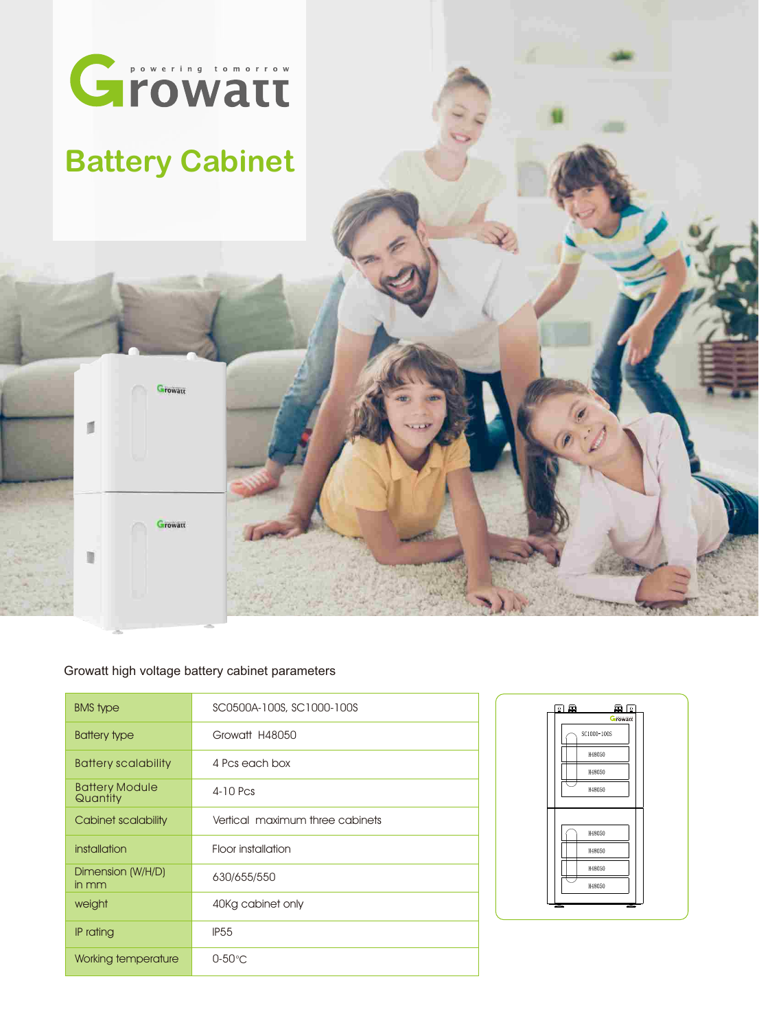

## **Battery Cabinet**

Growatt

Growatt

 $\blacksquare$ 



| <b>BMS</b> type                   | SC0500A-100S, SC1000-100S       |
|-----------------------------------|---------------------------------|
| Battery type                      | Growatt H48050                  |
| <b>Battery scalability</b>        | 4 Pcs each box                  |
| <b>Battery Module</b><br>Quantity | $4-10$ Pcs                      |
| Cabinet scalability               | Vertical maximum three cabinets |
| installation                      | Floor installation              |
| Dimension (W/H/D)<br>in mm        | 630/655/550                     |
| weight                            | 40Kg cabinet only               |
| IP rating                         | <b>IP55</b>                     |
| Working temperature               | $0-50^{\circ}$ C                |